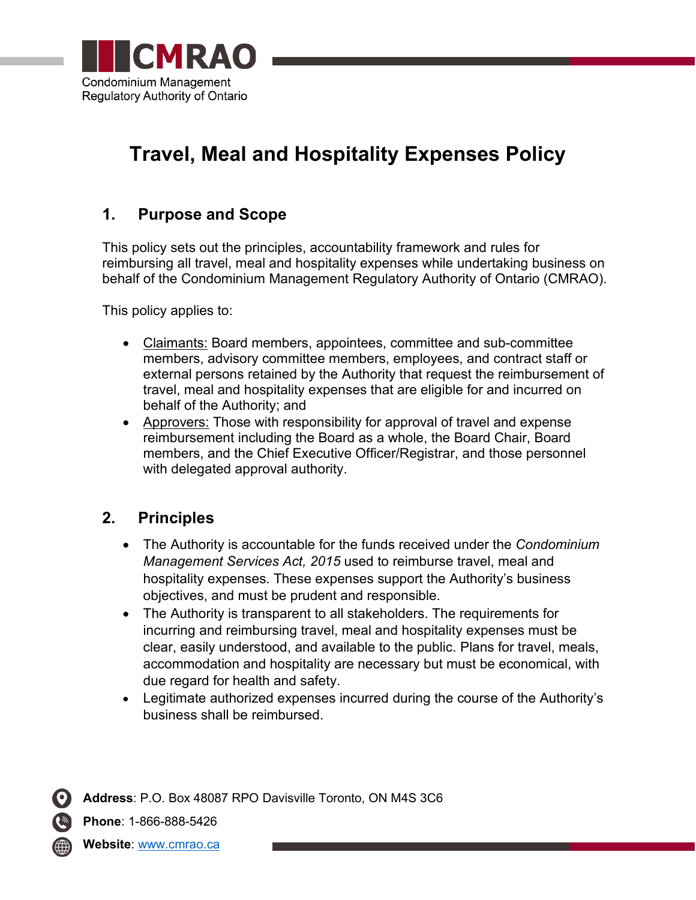

# **Travel, Meal and Hospitality Expenses Policy**

### **1. Purpose and Scope**

This policy sets out the principles, accountability framework and rules for reimbursing all travel, meal and hospitality expenses while undertaking business on behalf of the Condominium Management Regulatory Authority of Ontario (CMRAO).

This policy applies to:

- Claimants: Board members, appointees, committee and sub-committee members, advisory committee members, employees, and contract staff or external persons retained by the Authority that request the reimbursement of travel, meal and hospitality expenses that are eligible for and incurred on behalf of the Authority; and
- Approvers: Those with responsibility for approval of travel and expense reimbursement including the Board as a whole, the Board Chair, Board members, and the Chief Executive Officer/Registrar, and those personnel with delegated approval authority.

### **2. Principles**

- The Authority is accountable for the funds received under the *Condominium Management Services Act, 2015* used to reimburse travel, meal and hospitality expenses. These expenses support the Authority's business objectives, and must be prudent and responsible.
- The Authority is transparent to all stakeholders. The requirements for incurring and reimbursing travel, meal and hospitality expenses must be clear, easily understood, and available to the public. Plans for travel, meals, accommodation and hospitality are necessary but must be economical, with due regard for health and safety.
- Legitimate authorized expenses incurred during the course of the Authority's business shall be reimbursed.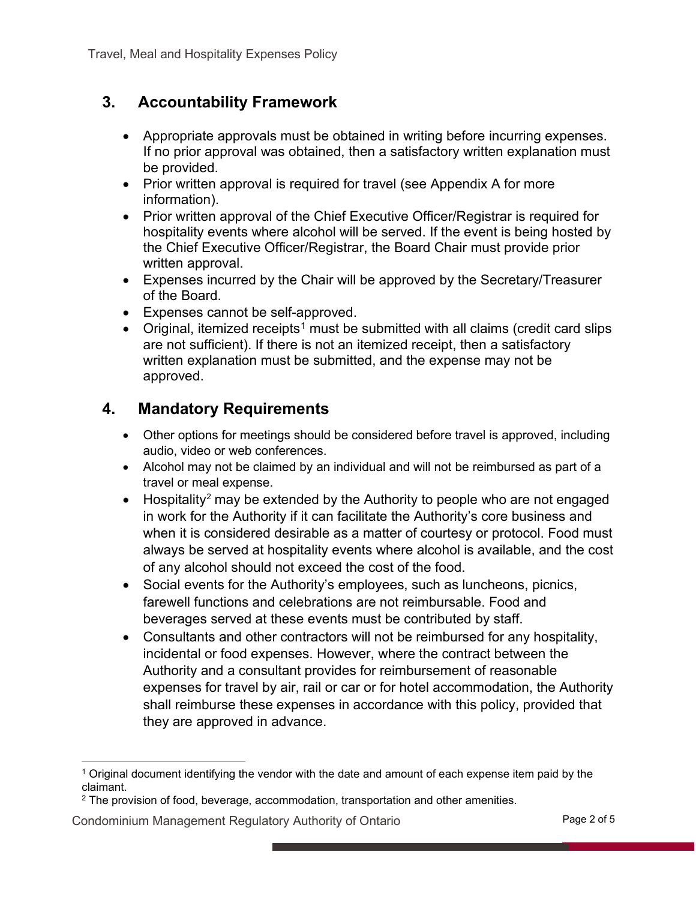### **3. Accountability Framework**

- Appropriate approvals must be obtained in writing before incurring expenses. If no prior approval was obtained, then a satisfactory written explanation must be provided.
- Prior written approval is required for travel (see Appendix A for more information).
- Prior written approval of the Chief Executive Officer/Registrar is required for hospitality events where alcohol will be served. If the event is being hosted by the Chief Executive Officer/Registrar, the Board Chair must provide prior written approval.
- Expenses incurred by the Chair will be approved by the Secretary/Treasurer of the Board.
- Expenses cannot be self-approved.
- Original, itemized receipts<sup>[1](#page-1-0)</sup> must be submitted with all claims (credit card slips are not sufficient). If there is not an itemized receipt, then a satisfactory written explanation must be submitted, and the expense may not be approved.

### **4. Mandatory Requirements**

- Other options for meetings should be considered before travel is approved, including audio, video or web conferences.
- Alcohol may not be claimed by an individual and will not be reimbursed as part of a travel or meal expense.
- Hospitality<sup>[2](#page-1-1)</sup> may be extended by the Authority to people who are not engaged in work for the Authority if it can facilitate the Authority's core business and when it is considered desirable as a matter of courtesy or protocol. Food must always be served at hospitality events where alcohol is available, and the cost of any alcohol should not exceed the cost of the food.
- Social events for the Authority's employees, such as luncheons, picnics, farewell functions and celebrations are not reimbursable. Food and beverages served at these events must be contributed by staff.
- Consultants and other contractors will not be reimbursed for any hospitality, incidental or food expenses. However, where the contract between the Authority and a consultant provides for reimbursement of reasonable expenses for travel by air, rail or car or for hotel accommodation, the Authority shall reimburse these expenses in accordance with this policy, provided that they are approved in advance.

#### <span id="page-1-1"></span>Condominium Management Regulatory Authority of Ontario **Page 2 of 5**

<span id="page-1-0"></span><sup>1</sup> Original document identifying the vendor with the date and amount of each expense item paid by the claimant.

<sup>2</sup> The provision of food, beverage, accommodation, transportation and other amenities.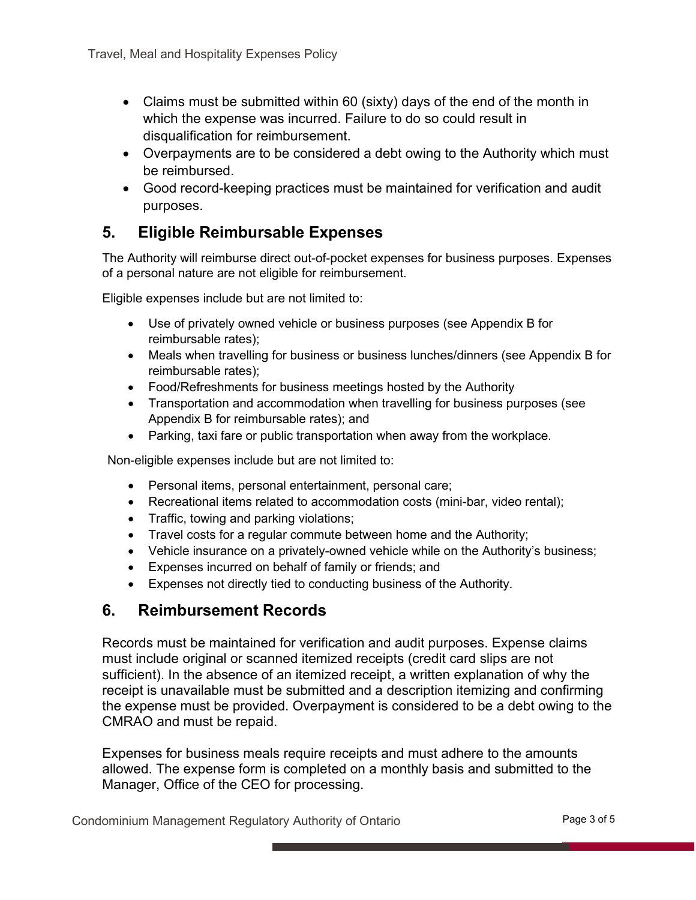- Claims must be submitted within 60 (sixty) days of the end of the month in which the expense was incurred. Failure to do so could result in disqualification for reimbursement.
- Overpayments are to be considered a debt owing to the Authority which must be reimbursed.
- Good record-keeping practices must be maintained for verification and audit purposes.

### **5. Eligible Reimbursable Expenses**

The Authority will reimburse direct out-of-pocket expenses for business purposes. Expenses of a personal nature are not eligible for reimbursement.

Eligible expenses include but are not limited to:

- Use of privately owned vehicle or business purposes (see Appendix B for reimbursable rates);
- Meals when travelling for business or business lunches/dinners (see Appendix B for reimbursable rates);
- Food/Refreshments for business meetings hosted by the Authority
- Transportation and accommodation when travelling for business purposes (see Appendix B for reimbursable rates); and
- Parking, taxi fare or public transportation when away from the workplace.

Non-eligible expenses include but are not limited to:

- Personal items, personal entertainment, personal care;
- Recreational items related to accommodation costs (mini-bar, video rental);
- Traffic, towing and parking violations;
- Travel costs for a regular commute between home and the Authority;
- Vehicle insurance on a privately-owned vehicle while on the Authority's business;
- Expenses incurred on behalf of family or friends; and
- Expenses not directly tied to conducting business of the Authority.

### **6. Reimbursement Records**

Records must be maintained for verification and audit purposes. Expense claims must include original or scanned itemized receipts (credit card slips are not sufficient). In the absence of an itemized receipt, a written explanation of why the receipt is unavailable must be submitted and a description itemizing and confirming the expense must be provided. Overpayment is considered to be a debt owing to the CMRAO and must be repaid.

Expenses for business meals require receipts and must adhere to the amounts allowed. The expense form is completed on a monthly basis and submitted to the Manager, Office of the CEO for processing.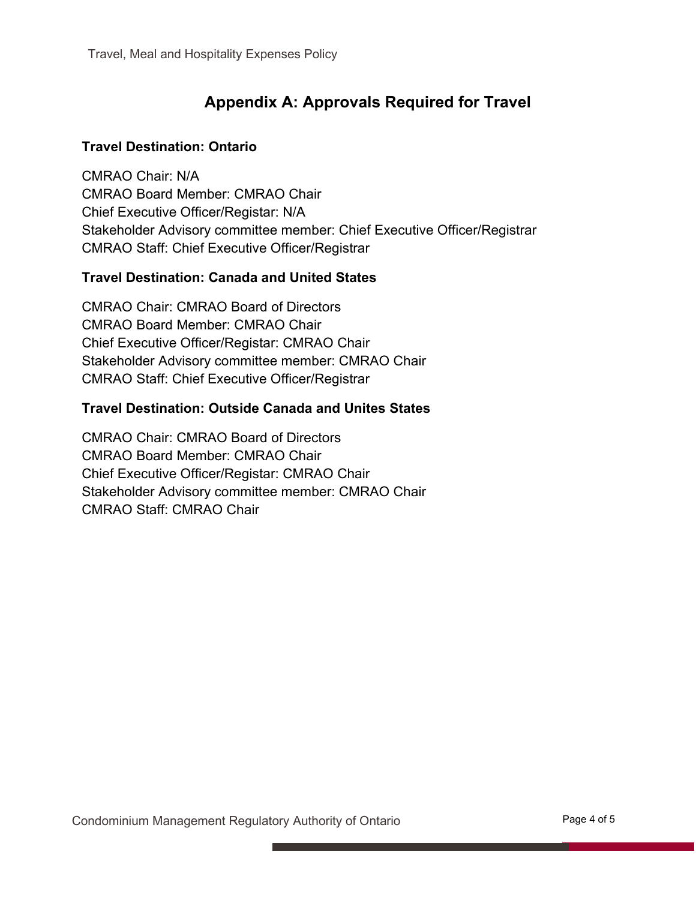# **Appendix A: Approvals Required for Travel**

#### **Travel Destination: Ontario**

CMRAO Chair: N/A CMRAO Board Member: CMRAO Chair Chief Executive Officer/Registar: N/A Stakeholder Advisory committee member: Chief Executive Officer/Registrar CMRAO Staff: Chief Executive Officer/Registrar

#### **Travel Destination: Canada and United States**

CMRAO Chair: CMRAO Board of Directors CMRAO Board Member: CMRAO Chair Chief Executive Officer/Registar: CMRAO Chair Stakeholder Advisory committee member: CMRAO Chair CMRAO Staff: Chief Executive Officer/Registrar

#### **Travel Destination: Outside Canada and Unites States**

CMRAO Chair: CMRAO Board of Directors CMRAO Board Member: CMRAO Chair Chief Executive Officer/Registar: CMRAO Chair Stakeholder Advisory committee member: CMRAO Chair CMRAO Staff: CMRAO Chair